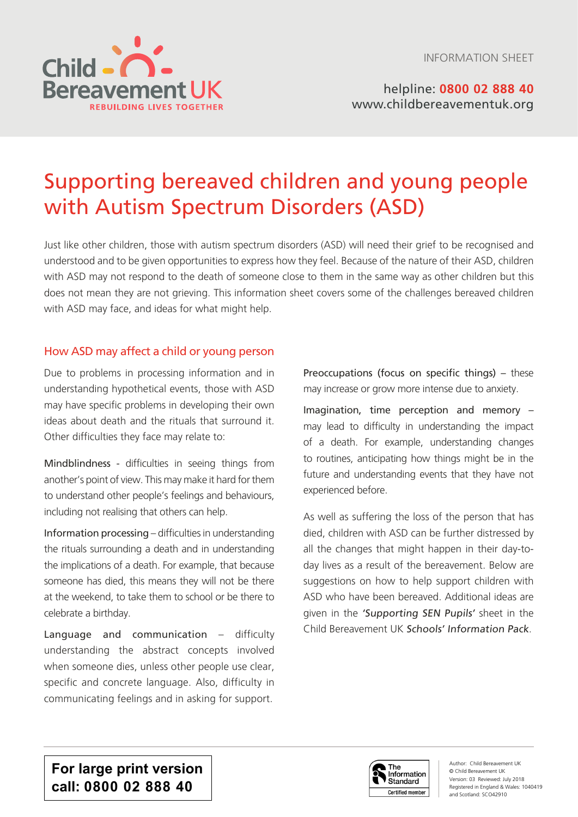

helpline: **0800 02 888 40** [www.childbereavementuk.org](http://www.childbereavementuk.org)

# Supporting bereaved children and young people with Autism Spectrum Disorders (ASD)

Just like other children, those with autism spectrum disorders (ASD) will need their grief to be recognised and understood and to be given opportunities to express how they feel. Because of the nature of their ASD, children with ASD may not respond to the death of someone close to them in the same way as other children but this does not mean they are not grieving. This information sheet covers some of the challenges bereaved children with ASD may face, and ideas for what might help.

## How ASD may affect a child or young person

Due to problems in processing information and in understanding hypothetical events, those with ASD may have specific problems in developing their own ideas about death and the rituals that surround it. Other difficulties they face may relate to:

Mindblindness - difficulties in seeing things from another's point of view. This may make it hard for them to understand other people's feelings and behaviours, including not realising that others can help.

Information processing – difficulties in understanding the rituals surrounding a death and in understanding the implications of a death. For example, that because someone has died, this means they will not be there at the weekend, to take them to school or be there to celebrate a birthday.

Language and communication – difficulty understanding the abstract concepts involved when someone dies, unless other people use clear, specific and concrete language. Also, difficulty in communicating feelings and in asking for support.

Preoccupations (focus on specific things) – these may increase or grow more intense due to anxiety.

Imagination, time perception and memory – may lead to difficulty in understanding the impact of a death. For example, understanding changes to routines, anticipating how things might be in the future and understanding events that they have not experienced before.

As well as suffering the loss of the person that has died, children with ASD can be further distressed by all the changes that might happen in their day-today lives as a result of the bereavement. Below are suggestions on how to help support children with ASD who have been bereaved. Additional ideas are given in the 'Supporting SEN Pupils' sheet in the Child Bereavement UK Schools' Information Pack.

**For large print version call: 0800 02 888 40**



Author: Child Bereavement UK © Child Bereavement UK Version: 03 Reviewed: July 2018 Registered in England & Wales: 1040419 and Scotland: SCO42910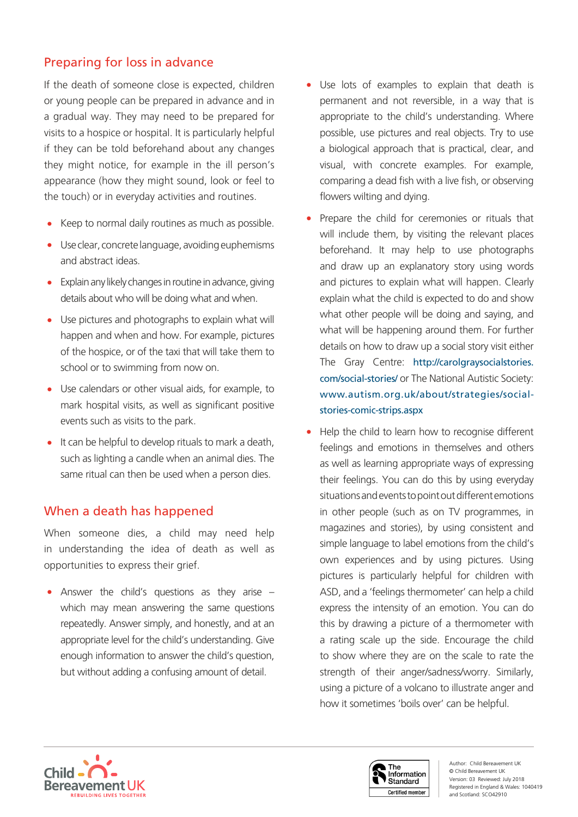# Preparing for loss in advance

If the death of someone close is expected, children or young people can be prepared in advance and in a gradual way. They may need to be prepared for visits to a hospice or hospital. It is particularly helpful if they can be told beforehand about any changes they might notice, for example in the ill person's appearance (how they might sound, look or feel to the touch) or in everyday activities and routines.

- Keep to normal daily routines as much as possible.
- Use clear, concrete language, avoiding euphemisms and abstract ideas.
- Explain any likely changes in routine in advance, giving details about who will be doing what and when.
- Use pictures and photographs to explain what will happen and when and how. For example, pictures of the hospice, or of the taxi that will take them to school or to swimming from now on.
- Use calendars or other visual aids, for example, to mark hospital visits, as well as significant positive events such as visits to the park.
- It can be helpful to develop rituals to mark a death, such as lighting a candle when an animal dies. The same ritual can then be used when a person dies.

# When a death has happened

When someone dies, a child may need help in understanding the idea of death as well as opportunities to express their grief.

• Answer the child's questions as they arise – which may mean answering the same questions repeatedly. Answer simply, and honestly, and at an appropriate level for the child's understanding. Give enough information to answer the child's question, but without adding a confusing amount of detail.

- Use lots of examples to explain that death is permanent and not reversible, in a way that is appropriate to the child's understanding. Where possible, use pictures and real objects. Try to use a biological approach that is practical, clear, and visual, with concrete examples. For example, comparing a dead fish with a live fish, or observing flowers wilting and dying.
- Prepare the child for ceremonies or rituals that will include them, by visiting the relevant places beforehand. It may help to use photographs and draw up an explanatory story using words and pictures to explain what will happen. Clearly explain what the child is expected to do and show what other people will be doing and saying, and what will be happening around them. For further details on how to draw up a social story visit either The Gray Centre: http://carolgraysocialstories. com/social-stories/ or The National Autistic Society: www.autism.org.uk/about/strategies/socialstories-comic-strips.aspx
- Help the child to learn how to recognise different feelings and emotions in themselves and others as well as learning appropriate ways of expressing their feelings. You can do this by using everyday situations and events to point out different emotions in other people (such as on TV programmes, in magazines and stories), by using consistent and simple language to label emotions from the child's own experiences and by using pictures. Using pictures is particularly helpful for children with ASD, and a 'feelings thermometer' can help a child express the intensity of an emotion. You can do this by drawing a picture of a thermometer with a rating scale up the side. Encourage the child to show where they are on the scale to rate the strength of their anger/sadness/worry. Similarly, using a picture of a volcano to illustrate anger and how it sometimes 'boils over' can be helpful.



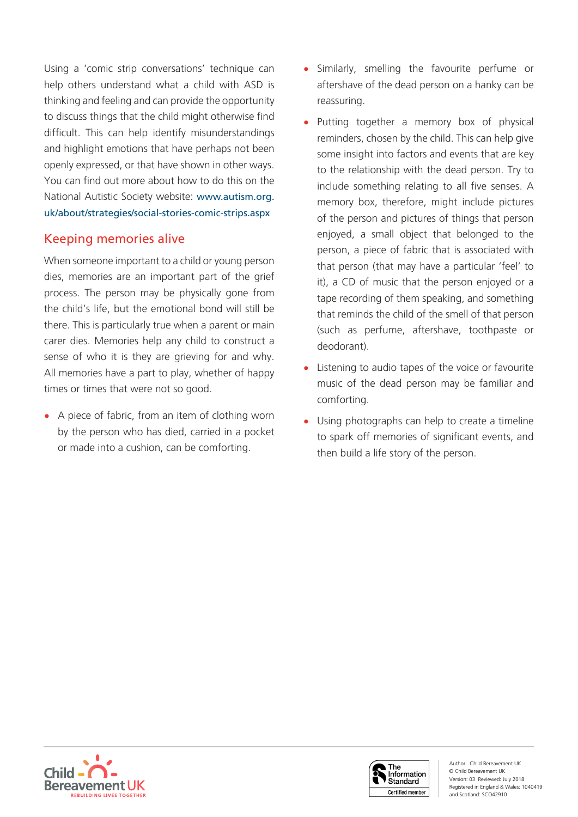Using a 'comic strip conversations' technique can help others understand what a child with ASD is thinking and feeling and can provide the opportunity to discuss things that the child might otherwise find difficult. This can help identify misunderstandings and highlight emotions that have perhaps not been openly expressed, or that have shown in other ways. You can find out more about how to do this on the National Autistic Society website: www.autism.org. uk/about/strategies/social-stories-comic-strips.aspx

# Keeping memories alive

When someone important to a child or young person dies, memories are an important part of the grief process. The person may be physically gone from the child's life, but the emotional bond will still be there. This is particularly true when a parent or main carer dies. Memories help any child to construct a sense of who it is they are grieving for and why. All memories have a part to play, whether of happy times or times that were not so good.

• A piece of fabric, from an item of clothing worn by the person who has died, carried in a pocket or made into a cushion, can be comforting.

- Similarly, smelling the favourite perfume or aftershave of the dead person on a hanky can be reassuring.
- Putting together a memory box of physical reminders, chosen by the child. This can help give some insight into factors and events that are key to the relationship with the dead person. Try to include something relating to all five senses. A memory box, therefore, might include pictures of the person and pictures of things that person enjoyed, a small object that belonged to the person, a piece of fabric that is associated with that person (that may have a particular 'feel' to it), a CD of music that the person enjoyed or a tape recording of them speaking, and something that reminds the child of the smell of that person (such as perfume, aftershave, toothpaste or deodorant).
- Listening to audio tapes of the voice or favourite music of the dead person may be familiar and comforting.
- Using photographs can help to create a timeline to spark off memories of significant events, and then build a life story of the person.